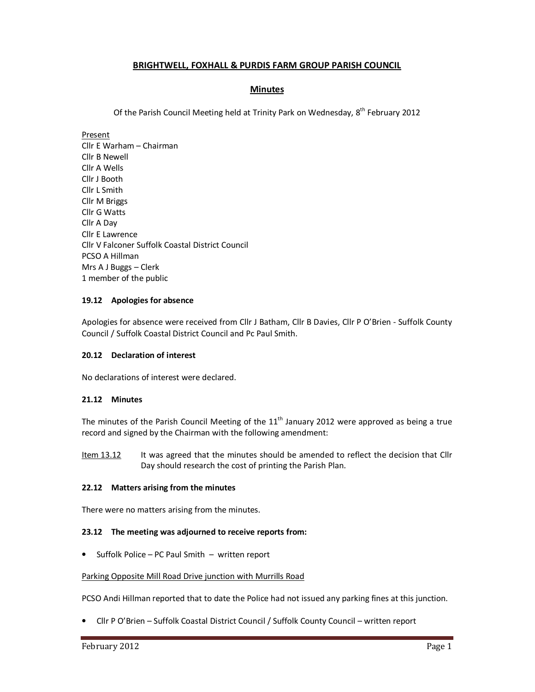# **BRIGHTWELL, FOXHALL & PURDIS FARM GROUP PARISH COUNCIL**

# **Minutes**

Of the Parish Council Meeting held at Trinity Park on Wednesday, 8<sup>th</sup> February 2012

Present

Cllr E Warham – Chairman Cllr B Newell Cllr A Wells Cllr J Booth Cllr L Smith Cllr M Briggs Cllr G Watts Cllr A Day Cllr E Lawrence Cllr V Falconer Suffolk Coastal District Council PCSO A Hillman Mrs A J Buggs – Clerk 1 member of the public

## **19.12 Apologies for absence**

Apologies for absence were received from Cllr J Batham, Cllr B Davies, Cllr P O'Brien - Suffolk County Council / Suffolk Coastal District Council and Pc Paul Smith.

## **20.12 Declaration of interest**

No declarations of interest were declared.

## **21.12 Minutes**

The minutes of the Parish Council Meeting of the  $11<sup>th</sup>$  January 2012 were approved as being a true record and signed by the Chairman with the following amendment:

Item 13.12 It was agreed that the minutes should be amended to reflect the decision that Cllr Day should research the cost of printing the Parish Plan.

## **22.12 Matters arising from the minutes**

There were no matters arising from the minutes.

## **23.12 The meeting was adjourned to receive reports from:**

• Suffolk Police – PC Paul Smith – written report

#### Parking Opposite Mill Road Drive junction with Murrills Road

PCSO Andi Hillman reported that to date the Police had not issued any parking fines at this junction.

• Cllr P O'Brien – Suffolk Coastal District Council / Suffolk County Council – written report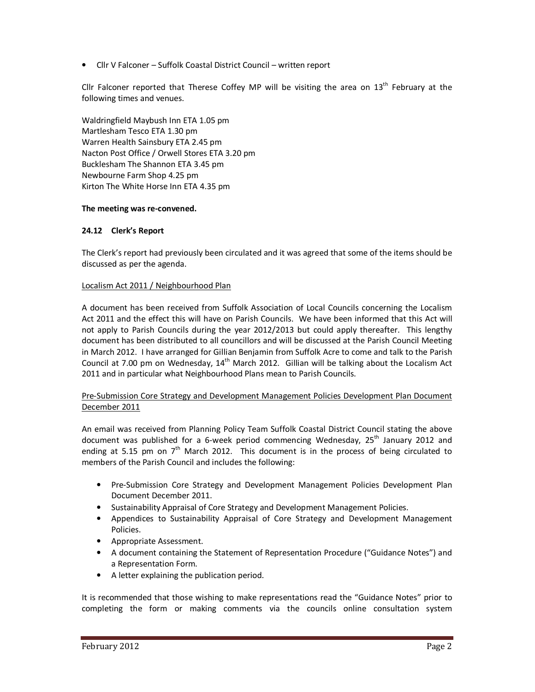• Cllr V Falconer – Suffolk Coastal District Council – written report

Cllr Falconer reported that Therese Coffey MP will be visiting the area on  $13<sup>th</sup>$  February at the following times and venues.

Waldringfield Maybush Inn ETA 1.05 pm Martlesham Tesco ETA 1.30 pm Warren Health Sainsbury ETA 2.45 pm Nacton Post Office / Orwell Stores ETA 3.20 pm Bucklesham The Shannon ETA 3.45 pm Newbourne Farm Shop 4.25 pm Kirton The White Horse Inn ETA 4.35 pm

### **The meeting was re-convened.**

### **24.12 Clerk's Report**

The Clerk's report had previously been circulated and it was agreed that some of the items should be discussed as per the agenda.

### Localism Act 2011 / Neighbourhood Plan

A document has been received from Suffolk Association of Local Councils concerning the Localism Act 2011 and the effect this will have on Parish Councils. We have been informed that this Act will not apply to Parish Councils during the year 2012/2013 but could apply thereafter. This lengthy document has been distributed to all councillors and will be discussed at the Parish Council Meeting in March 2012. I have arranged for Gillian Benjamin from Suffolk Acre to come and talk to the Parish Council at 7.00 pm on Wednesday,  $14<sup>th</sup>$  March 2012. Gillian will be talking about the Localism Act 2011 and in particular what Neighbourhood Plans mean to Parish Councils.

### Pre-Submission Core Strategy and Development Management Policies Development Plan Document December 2011

An email was received from Planning Policy Team Suffolk Coastal District Council stating the above document was published for a 6-week period commencing Wednesday, 25<sup>th</sup> January 2012 and ending at 5.15 pm on  $7<sup>th</sup>$  March 2012. This document is in the process of being circulated to members of the Parish Council and includes the following:

- Pre-Submission Core Strategy and Development Management Policies Development Plan Document December 2011.
- Sustainability Appraisal of Core Strategy and Development Management Policies.
- Appendices to Sustainability Appraisal of Core Strategy and Development Management Policies.
- Appropriate Assessment.
- A document containing the Statement of Representation Procedure ("Guidance Notes") and a Representation Form.
- A letter explaining the publication period.

It is recommended that those wishing to make representations read the "Guidance Notes" prior to completing the form or making comments via the councils online consultation system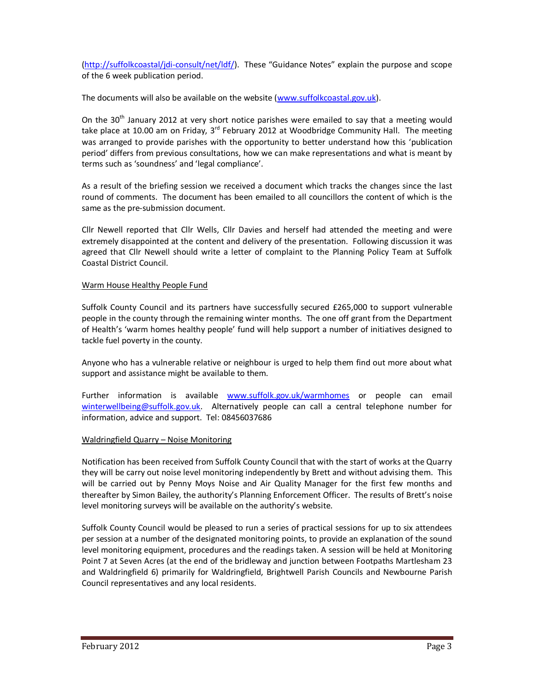(http://suffolkcoastal/jdi-consult/net/ldf/). These "Guidance Notes" explain the purpose and scope of the 6 week publication period.

The documents will also be available on the website (www.suffolkcoastal.gov.uk).

On the 30<sup>th</sup> January 2012 at very short notice parishes were emailed to say that a meeting would take place at 10.00 am on Friday,  $3^{rd}$  February 2012 at Woodbridge Community Hall. The meeting was arranged to provide parishes with the opportunity to better understand how this 'publication period' differs from previous consultations, how we can make representations and what is meant by terms such as 'soundness' and 'legal compliance'.

As a result of the briefing session we received a document which tracks the changes since the last round of comments. The document has been emailed to all councillors the content of which is the same as the pre-submission document.

Cllr Newell reported that Cllr Wells, Cllr Davies and herself had attended the meeting and were extremely disappointed at the content and delivery of the presentation. Following discussion it was agreed that Cllr Newell should write a letter of complaint to the Planning Policy Team at Suffolk Coastal District Council.

### Warm House Healthy People Fund

Suffolk County Council and its partners have successfully secured £265,000 to support vulnerable people in the county through the remaining winter months. The one off grant from the Department of Health's 'warm homes healthy people' fund will help support a number of initiatives designed to tackle fuel poverty in the county.

Anyone who has a vulnerable relative or neighbour is urged to help them find out more about what support and assistance might be available to them.

Further information is available www.suffolk.gov.uk/warmhomes or people can email winterwellbeing@suffolk.gov.uk. Alternatively people can call a central telephone number for information, advice and support. Tel: 08456037686

#### Waldringfield Quarry – Noise Monitoring

Notification has been received from Suffolk County Council that with the start of works at the Quarry they will be carry out noise level monitoring independently by Brett and without advising them. This will be carried out by Penny Moys Noise and Air Quality Manager for the first few months and thereafter by Simon Bailey, the authority's Planning Enforcement Officer. The results of Brett's noise level monitoring surveys will be available on the authority's website.

Suffolk County Council would be pleased to run a series of practical sessions for up to six attendees per session at a number of the designated monitoring points, to provide an explanation of the sound level monitoring equipment, procedures and the readings taken. A session will be held at Monitoring Point 7 at Seven Acres (at the end of the bridleway and junction between Footpaths Martlesham 23 and Waldringfield 6) primarily for Waldringfield, Brightwell Parish Councils and Newbourne Parish Council representatives and any local residents.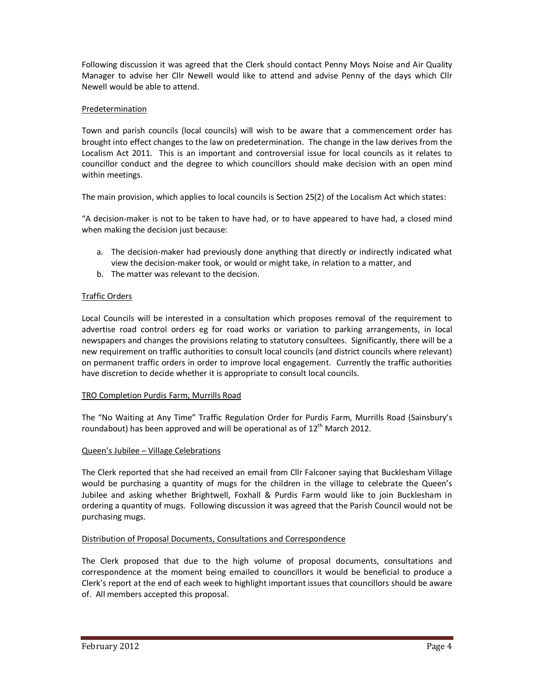Following discussion it was agreed that the Clerk should contact Penny Moys Noise and Air Quality Manager to advise her Cllr Newell would like to attend and advise Penny of the days which Cllr Newell would be able to attend.

# Predetermination

Town and parish councils (local councils) will wish to be aware that a commencement order has brought into effect changes to the law on predetermination. The change in the law derives from the Localism Act 2011. This is an important and controversial issue for local councils as it relates to councillor conduct and the degree to which councillors should make decision with an open mind within meetings.

The main provision, which applies to local councils is Section 25(2) of the Localism Act which states:

"A decision-maker is not to be taken to have had, or to have appeared to have had, a closed mind when making the decision just because:

- a. The decision-maker had previously done anything that directly or indirectly indicated what view the decision-maker took, or would or might take, in relation to a matter, and
- b. The matter was relevant to the decision.

# Traffic Orders

Local Councils will be interested in a consultation which proposes removal of the requirement to advertise road control orders eg for road works or variation to parking arrangements, in local newspapers and changes the provisions relating to statutory consultees. Significantly, there will be a new requirement on traffic authorities to consult local councils (and district councils where relevant) on permanent traffic orders in order to improve local engagement. Currently the traffic authorities have discretion to decide whether it is appropriate to consult local councils.

## TRO Completion Purdis Farm, Murrills Road

The "No Waiting at Any Time" Traffic Regulation Order for Purdis Farm, Murrills Road (Sainsbury's roundabout) has been approved and will be operational as of  $12<sup>th</sup>$  March 2012.

## Queen's Jubilee – Village Celebrations

The Clerk reported that she had received an email from Cllr Falconer saying that Bucklesham Village would be purchasing a quantity of mugs for the children in the village to celebrate the Queen's Jubilee and asking whether Brightwell, Foxhall & Purdis Farm would like to join Bucklesham in ordering a quantity of mugs. Following discussion it was agreed that the Parish Council would not be purchasing mugs.

## Distribution of Proposal Documents, Consultations and Correspondence

The Clerk proposed that due to the high volume of proposal documents, consultations and correspondence at the moment being emailed to councillors it would be beneficial to produce a Clerk's report at the end of each week to highlight important issues that councillors should be aware of. All members accepted this proposal.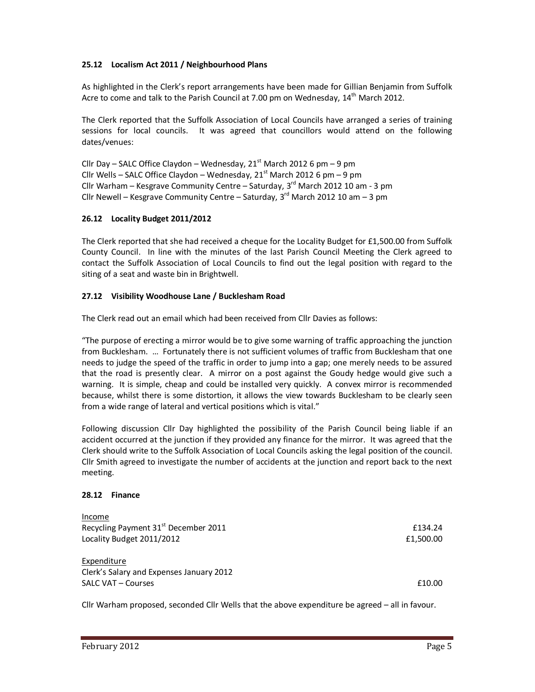## **25.12 Localism Act 2011 / Neighbourhood Plans**

As highlighted in the Clerk's report arrangements have been made for Gillian Benjamin from Suffolk Acre to come and talk to the Parish Council at 7.00 pm on Wednesday,  $14<sup>th</sup>$  March 2012.

The Clerk reported that the Suffolk Association of Local Councils have arranged a series of training sessions for local councils. It was agreed that councillors would attend on the following dates/venues:

Cllr Day – SALC Office Claydon – Wednesday, 21<sup>st</sup> March 2012 6 pm – 9 pm Cllr Wells – SALC Office Claydon – Wednesday,  $21<sup>st</sup>$  March 2012 6 pm – 9 pm Cllr Warham – Kesgrave Community Centre – Saturday,  $3<sup>rd</sup>$  March 2012 10 am - 3 pm Cllr Newell – Kesgrave Community Centre – Saturday,  $3<sup>rd</sup>$  March 2012 10 am – 3 pm

## **26.12 Locality Budget 2011/2012**

The Clerk reported that she had received a cheque for the Locality Budget for £1,500.00 from Suffolk County Council. In line with the minutes of the last Parish Council Meeting the Clerk agreed to contact the Suffolk Association of Local Councils to find out the legal position with regard to the siting of a seat and waste bin in Brightwell.

## **27.12 Visibility Woodhouse Lane / Bucklesham Road**

The Clerk read out an email which had been received from Cllr Davies as follows:

"The purpose of erecting a mirror would be to give some warning of traffic approaching the junction from Bucklesham. … Fortunately there is not sufficient volumes of traffic from Bucklesham that one needs to judge the speed of the traffic in order to jump into a gap; one merely needs to be assured that the road is presently clear. A mirror on a post against the Goudy hedge would give such a warning. It is simple, cheap and could be installed very quickly. A convex mirror is recommended because, whilst there is some distortion, it allows the view towards Bucklesham to be clearly seen from a wide range of lateral and vertical positions which is vital."

Following discussion Cllr Day highlighted the possibility of the Parish Council being liable if an accident occurred at the junction if they provided any finance for the mirror. It was agreed that the Clerk should write to the Suffolk Association of Local Councils asking the legal position of the council. Cllr Smith agreed to investigate the number of accidents at the junction and report back to the next meeting.

## **28.12 Finance**

| Income                                           |           |
|--------------------------------------------------|-----------|
| Recycling Payment 31 <sup>st</sup> December 2011 | £134.24   |
| Locality Budget 2011/2012                        | £1,500.00 |
| Expenditure                                      |           |
| Clerk's Salary and Expenses January 2012         |           |
| SALC VAT – Courses                               | £10.00    |

Cllr Warham proposed, seconded Cllr Wells that the above expenditure be agreed – all in favour.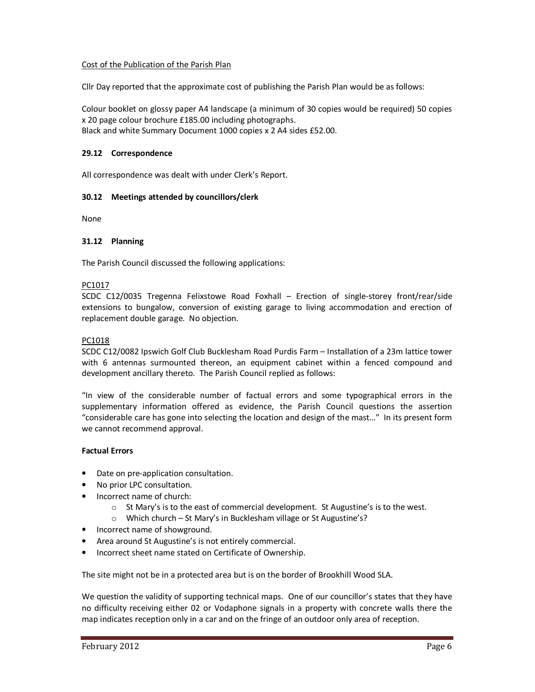### Cost of the Publication of the Parish Plan

Cllr Day reported that the approximate cost of publishing the Parish Plan would be as follows:

Colour booklet on glossy paper A4 landscape (a minimum of 30 copies would be required) 50 copies x 20 page colour brochure £185.00 including photographs. Black and white Summary Document 1000 copies x 2 A4 sides £52.00.

### **29.12 Correspondence**

All correspondence was dealt with under Clerk's Report.

### **30.12 Meetings attended by councillors/clerk**

None

#### **31.12 Planning**

The Parish Council discussed the following applications:

#### PC1017

SCDC C12/0035 Tregenna Felixstowe Road Foxhall – Erection of single-storey front/rear/side extensions to bungalow, conversion of existing garage to living accommodation and erection of replacement double garage. No objection.

### PC1018

SCDC C12/0082 Ipswich Golf Club Bucklesham Road Purdis Farm – Installation of a 23m lattice tower with 6 antennas surmounted thereon, an equipment cabinet within a fenced compound and development ancillary thereto. The Parish Council replied as follows:

"In view of the considerable number of factual errors and some typographical errors in the supplementary information offered as evidence, the Parish Council questions the assertion "considerable care has gone into selecting the location and design of the mast…" In its present form we cannot recommend approval.

#### **Factual Errors**

- Date on pre-application consultation.
- No prior LPC consultation.
- Incorrect name of church:
	- $\circ$  St Mary's is to the east of commercial development. St Augustine's is to the west.
	- o Which church St Mary's in Bucklesham village or St Augustine's?
- Incorrect name of showground.
- Area around St Augustine's is not entirely commercial.
- Incorrect sheet name stated on Certificate of Ownership.

The site might not be in a protected area but is on the border of Brookhill Wood SLA.

We question the validity of supporting technical maps. One of our councillor's states that they have no difficulty receiving either 02 or Vodaphone signals in a property with concrete walls there the map indicates reception only in a car and on the fringe of an outdoor only area of reception.